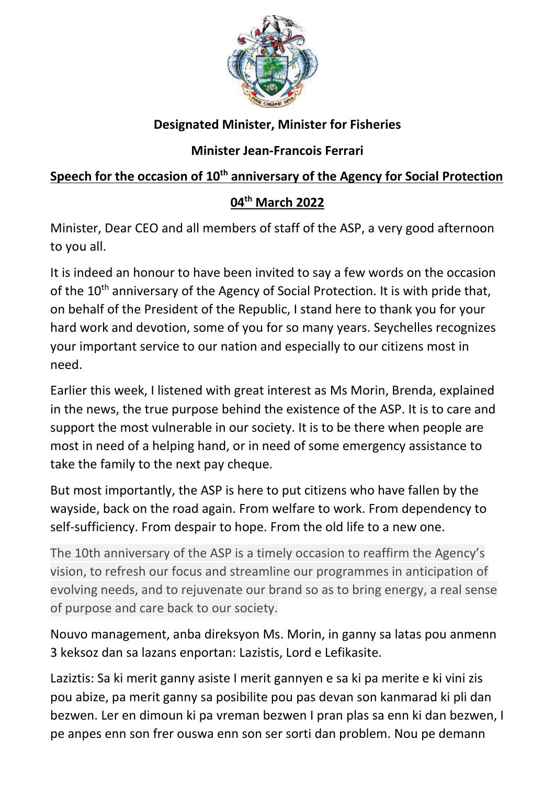

## **Designated Minister, Minister for Fisheries**

## **Minister Jean-Francois Ferrari**

## **Speech for the occasion of 10th anniversary of the Agency for Social Protection**

## **04th March 2022**

Minister, Dear CEO and all members of staff of the ASP, a very good afternoon to you all.

It is indeed an honour to have been invited to say a few words on the occasion of the 10<sup>th</sup> anniversary of the Agency of Social Protection. It is with pride that, on behalf of the President of the Republic, I stand here to thank you for your hard work and devotion, some of you for so many years. Seychelles recognizes your important service to our nation and especially to our citizens most in need.

Earlier this week, I listened with great interest as Ms Morin, Brenda, explained in the news, the true purpose behind the existence of the ASP. It is to care and support the most vulnerable in our society. It is to be there when people are most in need of a helping hand, or in need of some emergency assistance to take the family to the next pay cheque.

But most importantly, the ASP is here to put citizens who have fallen by the wayside, back on the road again. From welfare to work. From dependency to self-sufficiency. From despair to hope. From the old life to a new one.

The 10th anniversary of the ASP is a timely occasion to reaffirm the Agency's vision, to refresh our focus and streamline our programmes in anticipation of evolving needs, and to rejuvenate our brand so as to bring energy, a real sense of purpose and care back to our society.

Nouvo management, anba direksyon Ms. Morin, in ganny sa latas pou anmenn 3 keksoz dan sa lazans enportan: Lazistis, Lord e Lefikasite.

Laziztis: Sa ki merit ganny asiste I merit gannyen e sa ki pa merite e ki vini zis pou abize, pa merit ganny sa posibilite pou pas devan son kanmarad ki pli dan bezwen. Ler en dimoun ki pa vreman bezwen I pran plas sa enn ki dan bezwen, I pe anpes enn son frer ouswa enn son ser sorti dan problem. Nou pe demann